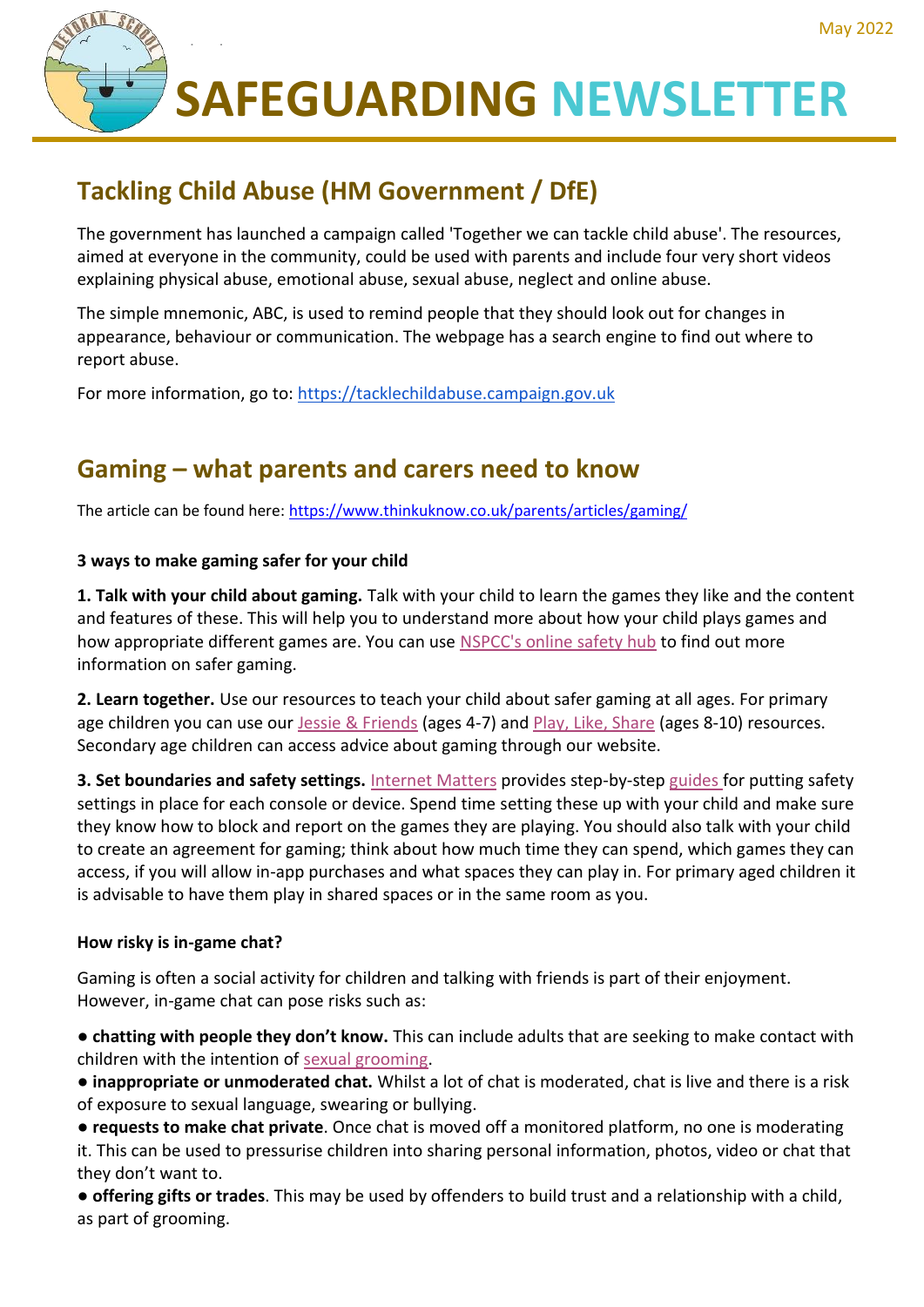

**SAFEGUARDING NEWSLETTER**

# **Tackling Child Abuse (HM Government / DfE)**

The government has launched a campaign called 'Together we can tackle child abuse'. The resources, aimed at everyone in the community, could be used with parents and include four very short videos explaining physical abuse, emotional abuse, sexual abuse, neglect and online abuse.

The simple mnemonic, ABC, is used to remind people that they should look out for changes in appearance, behaviour or communication. The webpage has a search engine to find out where to report abuse.

For more information, go to: [https://tacklechildabuse.campaign.gov.uk](https://email.kjbm.safeguardinginschools.co.uk/c/eJyFkMtuhDAMRb8GNtWgkAePRRat2kpd9wOQiQ1kgAQlAWn-vkxnFt1V9sJeWOdcw7Z1DlbSM1yht5eYfKAheJfiZQsed5OsdzmtYJfOoualbNlZqs0nXYHqCWshoK0IoeGsaVg1SC6RUNUijzbR86pWJWsUzxc9pbTFTLxm_PPsBGZeyEx2Qej3SIWBdQM7umL0R7HP-UoxwkhdJIcUOvSnitPztV-LCAONOwS0brQumsn7JRbG388exkiLPSjc7hJVLZlipWhVbjVnnJ-bYEpWZVWgGKQZBCAbai6GMpPsX0IgYzdLLv0m5KXinEtW50l_n7Ffvt4zLv4Efwil20b64z6-BQ9oIKY86MOa8-8WFm_mE410-ABP3JOGGqVqe_YDVReRGQ)

# **Gaming – what parents and carers need to know**

The article can be found here:<https://www.thinkuknow.co.uk/parents/articles/gaming/>

## **3 ways to make gaming safer for your child**

**1. Talk with your child about gaming.** Talk with your child to learn the games they like and the content and features of these. This will help you to understand more about how your child plays games and how appropriate different games are. You can use [NSPCC's online safety hub](https://www.nspcc.org.uk/keeping-children-safe/online-safety/) to find out more information on safer gaming.

**2. Learn together.** Use our resources to teach your child about safer gaming at all ages. For primary age children you can use our [Jessie & Friends](https://www.thinkuknow.co.uk/parents/jessie-and-friends-videos/) (ages 4-7) and [Play, Like, Share](https://www.thinkuknow.co.uk/8_10/watch/) (ages 8-10) resources. Secondary age children can access advice about gaming through our website.

**3. Set boundaries and safety settings.** [Internet Matters](https://www.internetmatters.org/parental-controls/gaming-consoles/) provides step-by-step [guides](https://www.internetmatters.org/parental-controls/gaming-consoles/) for putting safety settings in place for each console or device. Spend time setting these up with your child and make sure they know how to block and report on the games they are playing. You should also talk with your child to create an agreement for gaming; think about how much time they can spend, which games they can access, if you will allow in-app purchases and what spaces they can play in. For primary aged children it is advisable to have them play in shared spaces or in the same room as you.

### **How risky is in-game chat?**

Gaming is often a social activity for children and talking with friends is part of their enjoyment. However, in-game chat can pose risks such as:

● **chatting with people they don't know.** This can include adults that are seeking to make contact with children with the intention of [sexual grooming.](https://www.thinkuknow.co.uk/parents/articles/What-is-sexual-grooming/)

● **inappropriate or unmoderated chat.** Whilst a lot of chat is moderated, chat is live and there is a risk of exposure to sexual language, swearing or bullying.

● **requests to make chat private**. Once chat is moved off a monitored platform, no one is moderating it. This can be used to pressurise children into sharing personal information, photos, video or chat that they don't want to.

● **offering gifts or trades**. This may be used by offenders to build trust and a relationship with a child, as part of grooming.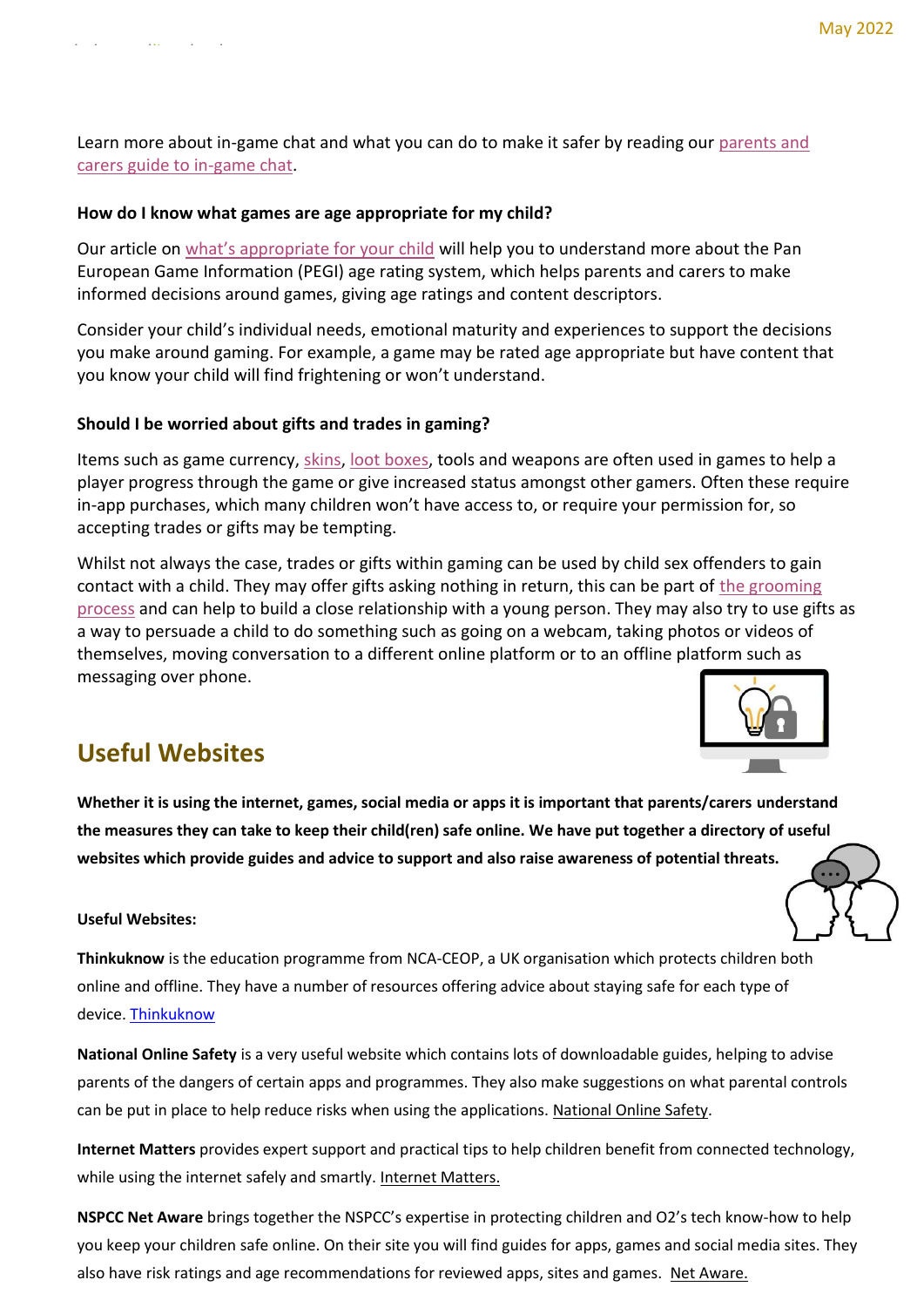Learn more about in-game chat and what you can do to make it safer by reading our [parents and](https://www.thinkuknow.co.uk/parents/articles/in-game-chat/)  [carers guide to in-game chat.](https://www.thinkuknow.co.uk/parents/articles/in-game-chat/)

#### **How do I know what games are age appropriate for my child?**

Our article on [what's appropriate for your child](https://www.thinkuknow.co.uk/parents/articles/gaming-whats-appropriate-for-your-child/) will help you to understand more about the Pan European Game Information (PEGI) age rating system, which helps parents and carers to make informed decisions around games, giving age ratings and content descriptors.

Consider your child's individual needs, emotional maturity and experiences to support the decisions you make around gaming. For example, a game may be rated age appropriate but have content that you know your child will find frightening or won't understand.

#### **Should I be worried about gifts and trades in gaming?**

Items such as game currency, [skins,](https://www.bbc.com/ownit/take-control/kids-explain-gaming-skin?collection=kids-explain-collection) loot [boxes,](https://www.bbc.com/ownit/take-control/kids-explain-gaming-lootbox?collection=kids-explain-collection) tools and weapons are often used in games to help a player progress through the game or give increased status amongst other gamers. Often these require in-app purchases, which many children won't have access to, or require your permission for, so accepting trades or gifts may be tempting.

Whilst not always the case, trades or gifts within gaming can be used by child sex offenders to gain contact with a child. They may offer gifts asking nothing in return, this can be part of [the grooming](https://www.thinkuknow.co.uk/parents/articles/What-is-sexual-grooming/)  [process](https://www.thinkuknow.co.uk/parents/articles/What-is-sexual-grooming/) and can help to build a close relationship with a young person. They may also try to use gifts as a way to persuade a child to do something such as going on a webcam, taking photos or videos of themselves, moving conversation to a different online platform or to an offline platform such as messaging over phone.



## **Useful Websites**

**Whether it is using the internet, games, social media or apps it is important that parents/carers understand the measures they can take to keep their child(ren) safe online. We have put together a directory of useful websites which provide guides and advice to support and also raise awareness of potential threats.**

#### **Useful Websites:**

**Thinkuknow** is the education programme from NCA-CEOP, a UK organisation which protects children both online and offline. They have a number of resources offering advice about staying safe for each type of device. [Thinkuknow](https://www.thinkuknow.co.uk/)

**National Online Safety** is a very useful website which contains lots of downloadable guides, helping to advise parents of the dangers of certain apps and programmes. They also make suggestions on what parental controls can be put in place to help reduce risks when using the applications. [National Online Safety.](https://nationalonlinesafety.com/)

**Internet Matters** provides expert support and practical tips to help children benefit from connected technology, while using the internet safely and smartly. [Internet Matters.](https://www.internetmatters.org/)

**NSPCC Net Aware** brings together the NSPCC's expertise in protecting children and O2's tech know-how to help you keep your children safe online. On their site you will find guides for apps, games and social media sites. They also have risk ratings and age recommendations for reviewed apps, sites and games. [Net Aware.](https://www.net-aware.org.uk/)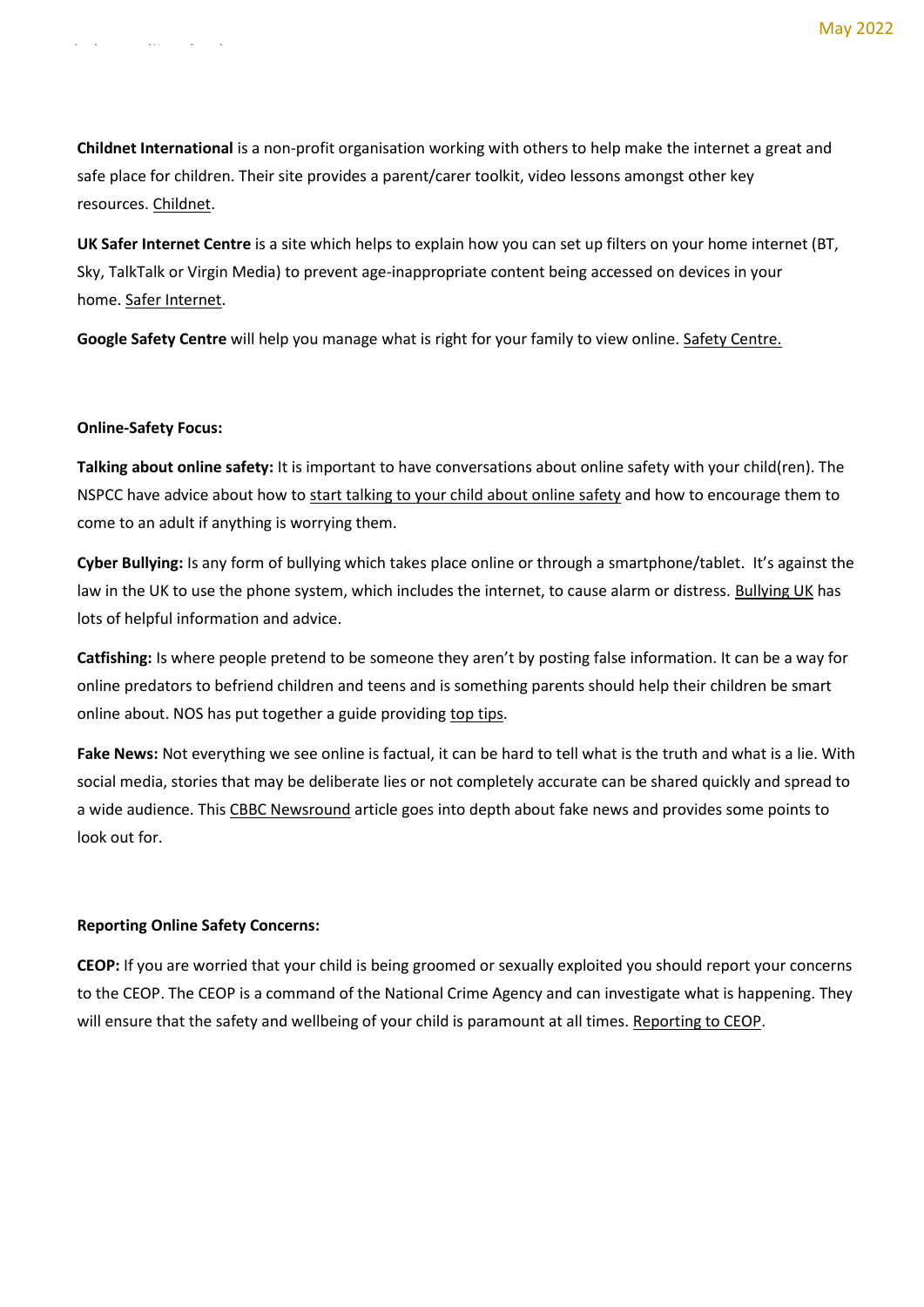**Childnet International** is a non-profit organisation working with others to help make the internet a great and safe place for children. Their site provides a parent/carer toolkit, video lessons amongst other key resources. [Childnet.](https://www.childnet.com/)

**UK Safer Internet Centre** is a site which helps to explain how you can set up filters on your home internet (BT, Sky, TalkTalk or Virgin Media) to prevent age-inappropriate content being accessed on devices in your home. [Safer Internet.](https://www.saferinternet.org.uk/advice-centre/parents-and-carers/parental-controls-offered-your-home-internet-provider)

**Google Safety Centre** will help you manage what is right for your family to view online. [Safety Centre.](https://safety.google/families/)

#### **Online-Safety Focus:**

www.larkswoodlime.london

**Talking about online safety:** It is important to have conversations about online safety with your child(ren). The NSPCC have advice about how to [start talking to your child about online safety](https://www.nspcc.org.uk/keeping-children-safe/online-safety/talking-child-online-safety/) and how to encourage them to come to an adult if anything is worrying them.

**Cyber Bullying:** Is any form of bullying which takes place online or through a smartphone/tablet. It's against the law in the UK to use the phone system, which includes the internet, to cause alarm or distress. [Bullying UK](https://www.bullying.co.uk/cyberbullying/what-is-cyberbullying/) has lots of helpful information and advice.

**Catfishing:** Is where people pretend to be someone they aren't by posting false information. It can be a way for online predators to befriend children and teens and is something parents should help their children be smart online about. NOS has put together a guide providing [top tips.](https://nationalonlinesafety.com/guides/what-parents-need-to-know-about-catfishing-1)

**Fake News:** Not everything we see online is factual, it can be hard to tell what is the truth and what is a lie. With social media, stories that may be deliberate lies or not completely accurate can be shared quickly and spread to a wide audience. This [CBBC Newsround](https://www.bbc.co.uk/newsround/38906931) article goes into depth about fake news and provides some points to look out for.

#### **Reporting Online Safety Concerns:**

**CEOP:** If you are worried that your child is being groomed or sexually exploited you should report your concerns to the CEOP. The CEOP is a command of the National Crime Agency and can investigate what is happening. They will ensure that the safety and wellbeing of your child is paramount at all times. [Reporting to CEOP.](https://www.thinkuknow.co.uk/parents/Get-help/Reporting-an-incident/)